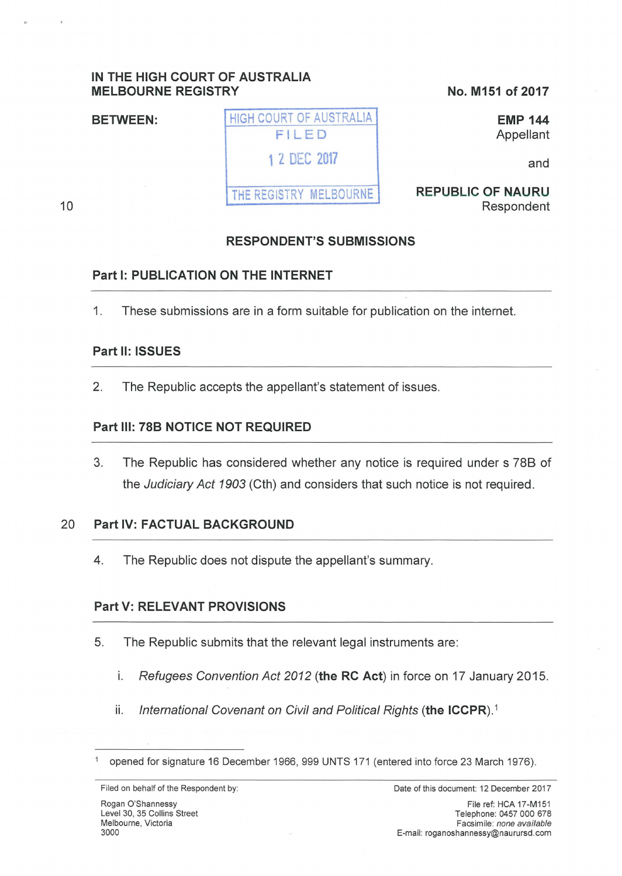## **IN THE HIGH COURT OF AUSTRALIA MELBOURNE REGISTRY**

**BETWEEN: HIGH COURT OF AUSTRALIA** 

## **No. M151 of 2017**

**REPUBLIC OF NAURU** 

**EMP 144**  Appellant

Respondent

and

10

# **RESPONDENT'S SUBMISSIONS**

## **Part 1: PUBLICATION ON THE INTERNET**

1. These submissions are in a form suitable for publication on the internet.

FILED

**1** Z OEC **<sup>2017</sup>**

THE REGISTRY MELBOURNE

## **Part 11: ISSUES**

2. The Republic accepts the appellant's statement of issues.

### **Part Ill: 78B NOTICE NOT REQUIRED**

3. The Republic has considered whether any notice is required under s 788 of the Judiciary Act 1903 (Cth) and considers that such notice is not required.

### 20 **Part IV: FACTUAL BACKGROUND**

4. The Republic does not dispute the appellant's summary.

## **Part V: RELEVANT PROVISIONS**

- 5. The Republic submits that the relevant legal instruments are:
	- 1. Refugees Convention Act 2012 **(the RC Act)** in force on 17 January 2015.
	- ii. International Covenant on Civil and Political Rights (the ICCPR).<sup>1</sup>

<sup>1</sup>opened for signature 16 December 1966, 999 UNTS 171 (entered into force 23 March 1976).

Filed on behalf of the Respondent by: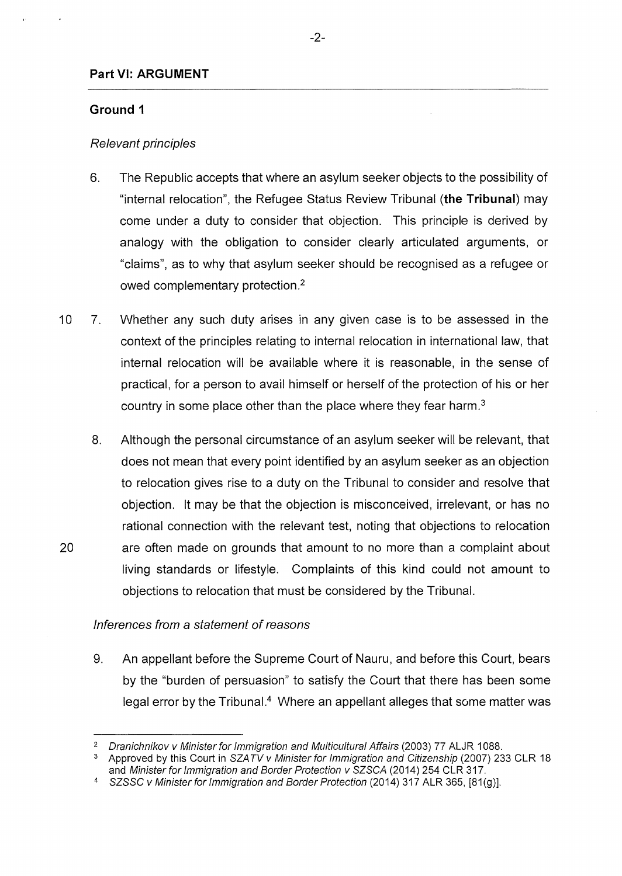### **Part** VI: **ARGUMENT**

### **Ground 1**

### Relevant principles

- 6. The Republic accepts that where an asylum seeker objects to the possibility of "internal relocation", the Refugee Status Review Tribunal **(the Tribunal)** may come under a duty to consider that objection. This principle is derived by analogy with the obligation to consider clearly articulated arguments, or "claims", as to why that asylum seeker should be recognised as a refugee or owed complementary protection.<sup>2</sup>
- 10 7. Whether any such duty arises in any given case is to be assessed in the context of the principles relating to internal relocation in international law, that internal relocation will be available where it is reasonable, in the sense of practical, for a person to avail himself or herself of the protection of his or her country in some place other than the place where they fear harm. $3$
- 8. Although the personal circumstance of an asylum seeker will be relevant, that does not mean that every point identified by an asylum seeker as an objection to relocation gives rise to a duty on the Tribunal to consider and resolve that objection. lt may be that the objection is misconceived, irrelevant, or has no rational connection with the relevant test, noting that objections to relocation 20 are often made on grounds that amount to no more than a complaint about living standards or lifestyle. Complaints of this kind could not amount to objections to relocation that must be considered by the Tribunal.

### Inferences from a statement of reasons

9. An appellant before the Supreme Court of Nauru, and before this Court, bears by the "burden of persuasion" to satisfy the Court that there has been some legal error by the Tribunal.<sup>4</sup> Where an appellant alleges that some matter was

<sup>2</sup>Dranichnikov v Minister for Immigration and Multicultural Affairs (2003) 77 ALJR 1088.

<sup>&</sup>lt;sup>3</sup> Approved by this Court in SZATV v Minister for Immigration and Citizenship (2007) 233 CLR 18 and Minister for Immigration and Border Protection v SZSCA (2014) 254 CLR 317.

<sup>4</sup> SZSSC v Minister for Immigration and Border Protection (2014) 317 ALR 365, [81(g)].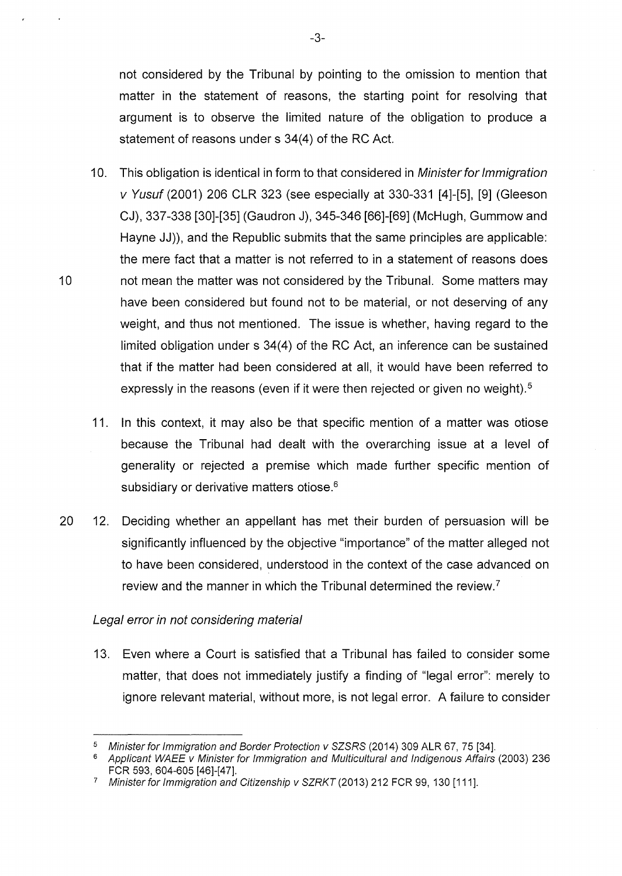not considered by the Tribunal by pointing to the omission to mention that matter in the statement of reasons, the starting point for resolving that argument is to observe the limited nature of the obligation to produce a statement of reasons under s 34(4) of the RC Act.

- 10. This obligation is identical in form to that considered in *Minister for Immigration* v Yusuf (2001) 206 CLR 323 (see especially at 330-331 [4]-[5], [9] (Gieeson CJ), 337-338 [30]-[35] (Gaudron J), 345-346 [66]-[69] (McHugh, Gummow and Hayne JJ)), and the Republic submits that the same principles are applicable: the mere fact that a matter is not referred to in a statement of reasons does 10 not mean the matter was not considered by the Tribunal. Some matters may have been considered but found not to be material, or not deserving of any weight, and thus not mentioned. The issue is whether, having regard to the limited obligation under s 34(4) of the RC Act, an inference can be sustained that if the matter had been considered at all, it would have been referred to expressly in the reasons (even if it were then rejected or given no weight).<sup>5</sup>
	- 11. In this context, it may also be that specific mention of a matter was otiose because the Tribunal had dealt with the overarching issue at a level of generality or rejected a premise which made further specific mention of subsidiary or derivative matters otiose.<sup>6</sup>
- 20 12. Deciding whether an appellant has met their burden of persuasion will be significantly influenced by the objective "importance" of the matter alleged not to have been considered, understood in the context of the case advanced on review and the manner in which the Tribunal determined the review\_?

### Legal error in not considering material

13. Even where a Court is satisfied that a Tribunal has failed to consider some matter, that does not immediately justify a finding of "legal error": merely to ignore relevant material, without more, is not legal error. A failure to consider

-3-

<sup>5</sup>Minister for Immigration and Border Protection v SZSRS (2014) 309 ALR 67, 75 [34].

<sup>&</sup>lt;sup>6</sup> Applicant WAEE v Minister for Immigration and Multicultural and Indigenous Affairs (2003) 236 FCR 593, 604-605 [46]-[47].

<sup>7</sup> Minister for Immigration and Citizenship v SZRKT (2013) 212 FCR 99, 130 [111].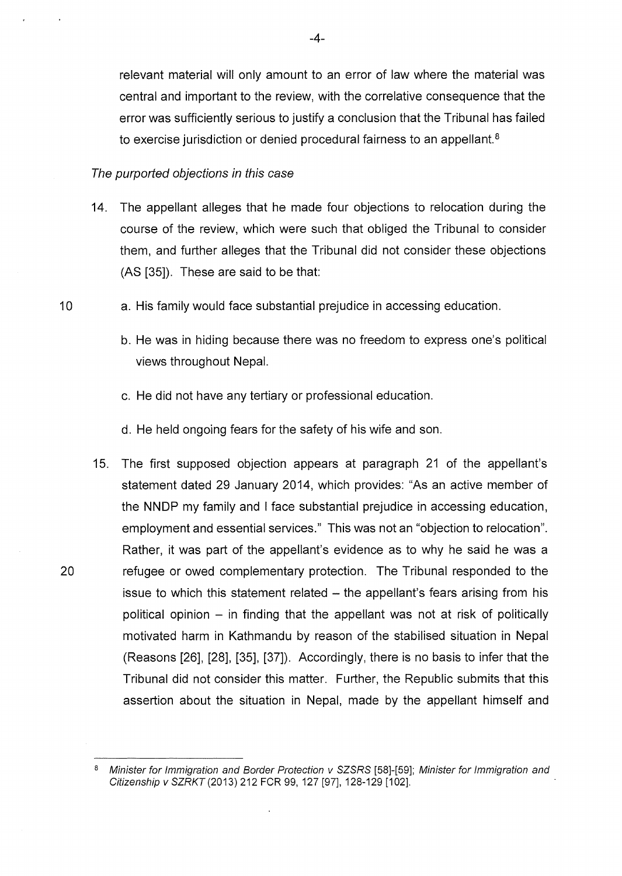relevant material will only amount to an error of law where the material was central and important to the review, with the correlative consequence that the error was sufficiently serious to justify a conclusion that the Tribunal has failed to exercise jurisdiction or denied procedural fairness to an appellant. <sup>8</sup>

#### The purported objections in this case

- 14. The appellant alleges that he made four objections to relocation during the course of the review, which were such that obliged the Tribunal to consider them, and further alleges that the Tribunal did not consider these objections (AS [35]). These are said to be that:
- 10 a. His family would face substantial prejudice in accessing education.
	- b. He was in hiding because there was no freedom to express one's political views throughout Nepal.
	- c. He did not have any tertiary or professional education.
	- d. He held ongoing fears for the safety of his wife and son.
- 15. The first supposed objection appears at paragraph 21 of the appellant's statement dated 29 January 2014, which provides: "As an active member of the NNDP my family and I face substantial prejudice in accessing education, employment and essential services." This was not an "objection to relocation". Rather, it was part of the appellant's evidence as to why he said he was a 20 refugee or owed complementary protection. The Tribunal responded to the issue to which this statement related - the appellant's fears arising from his political opinion  $-$  in finding that the appellant was not at risk of politically motivated harm in Kathmandu by reason of the stabilised situation in Nepal (Reasons [26], [28], [35], [37]). Accordingly, there is no basis to infer that the Tribunal did not consider this matter. Further, the Republic submits that this assertion about the situation in Nepal, made by the appellant himself and

<sup>&</sup>lt;sup>8</sup> Minister for Immigration and Border Protection v SZSRS [58]-[59]; Minister for Immigration and Citizenship v SZRKT (2013) 212 FCR 99, 127 [97], 128-129 [102].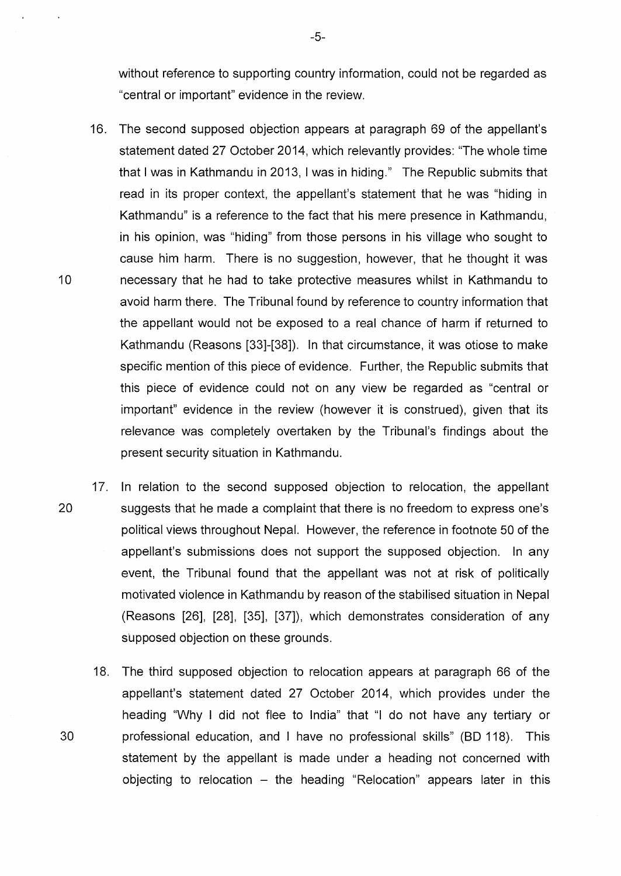without reference to supporting country information, could not be regarded as "central or important" evidence in the review.

- 16. The second supposed objection appears at paragraph 69 of the appellant's statement dated 27 October 2014, which relevantly provides: "The whole time that I was in Kathmandu in 2013, I was in hiding." The Republic submits that read in its proper context, the appellant's statement that he was "hiding in Kathmandu" is a reference to the fact that his mere presence in Kathmandu, in his opinion, was "hiding" from those persons in his village who sought to cause him harm. There is no suggestion, however, that he thought it was 10 necessary that he had to take protective measures whilst in Kathmandu to avoid harm there. The Tribunal found by reference to country information that the appellant would not be exposed to a real chance of harm if returned to Kathmandu (Reasons [33]-[38]). In that circumstance, it was otiose to make specific mention of this piece of evidence. Further, the Republic submits that this piece of evidence could not on any view be regarded as "central or important" evidence in the review (however it is construed), given that its relevance was completely overtaken by the Tribunal's findings about the present security situation in Kathmandu.
- 17. In relation to the second supposed objection to relocation, the appellant 20 suggests that he made a complaint that there is no freedom to express one's political views throughout Nepal. However, the reference in footnote 50 of the appellant's submissions does not support the supposed objection. In any event, the Tribunal found that the appellant was not at risk of politically motivated violence in Kathmandu by reason of the stabilised situation in Nepal (Reasons [26], [28], [35], [37]), which demonstrates consideration of any supposed objection on these grounds.
- 18. The third supposed objection to relocation appears at paragraph 66 of the appellant's statement dated 27 October 2014, which provides under the heading "Why I did not flee to India" that "I do not have any tertiary or 30 professional education, and I have no professional skills" (BD 118). This statement by the appellant is made under a heading not concerned with objecting to relocation  $-$  the heading "Relocation" appears later in this

-5-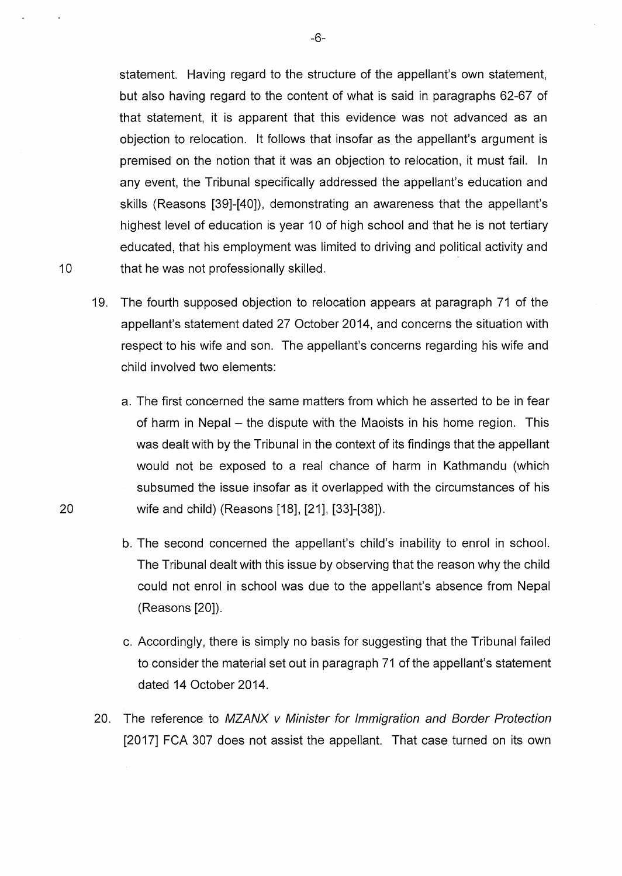statement. Having regard to the structure of the appellant's own statement, but also having regard to the content of what is said in paragraphs 62-67 of that statement, it is apparent that this evidence was not advanced as an objection to relocation. lt follows that insofar as the appellant's argument is premised on the notion that it was an objection to relocation, it must fail. In any event, the Tribunal specifically addressed the appellant's education and skills (Reasons [39]-[40]), demonstrating an awareness that the appellant's highest level of education is year 10 of high school and that he is not tertiary educated, that his employment was limited to driving and political activity and 10 that he was not professionally skilled.

- 19. The fourth supposed objection to relocation appears at paragraph 71 of the appellant's statement dated 27 October 2014, and concerns the situation with respect to his wife and son. The appellant's concerns regarding his wife and child involved two elements:
	- a. The first concerned the same matters from which he asserted to be in fear of harm in Nepal – the dispute with the Maoists in his home region. This was dealt with by the Tribunal in the context of its findings that the appellant would not be exposed to a real chance of harm in Kathmandu (which subsumed the issue insofar as it overlapped with the circumstances of his wife and child) (Reasons [18], [21], [33]-[38]).
	- b. The second concerned the appellant's child's inability to enrol in school. The Tribunal dealt with this issue by observing that the reason why the child could not enrol in school was due to the appellant's absence from Nepal (Reasons [20]).
	- c. Accordingly, there is simply no basis for suggesting that the Tribunal failed to consider the material set out in paragraph 71 of the appellant's statement dated 14 October 2014.
- 20. The reference to MZANX v Minister for Immigration and Border Protection [2017] FCA 307 does not assist the appellant. That case turned on its own

-6-

20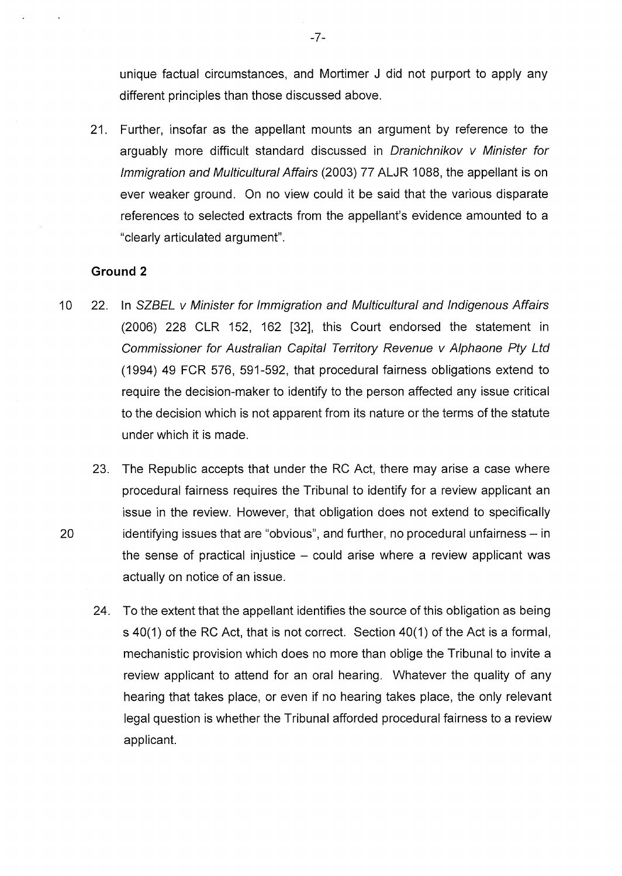unique factual circumstances, and Mortimer J did not purport to apply any different principles than those discussed above.

21. Further, insofar as the appellant mounts an argument by reference to the arguably more difficult standard discussed in Dranichnikov v Minister for Immigration and Multicultural Affairs (2003) 77 ALJR 1088, the appellant is on ever weaker ground. On no view could it be said that the various disparate references to selected extracts from the appellant's evidence amounted to a "clearly articulated argument".

### **Ground 2**

- 10 22. In SZBEL v Minister for Immigration and Multicultural and Indigenous Affairs (2006) 228 CLR 152, 162 [32], this Court endorsed the statement in Commissioner for Australian Capital Territory Revenue v Alphaone Pty Ltd (1994) 49 FCR 576, 591-592, that procedural fairness obligations extend to require the decision-maker to identify to the person affected any issue critical to the decision which is not apparent from its nature or the terms of the statute under which it is made.
- 23. The Republic accepts that under the RC Act, there may arise a case where procedural fairness requires the Tribunal to identify for a review applicant an issue in the review. However, that obligation does not extend to specifically 20 identifying issues that are "obvious", and further, no procedural unfairness- in the sense of practical injustice  $-$  could arise where a review applicant was actually on notice of an issue.
	- 24. To the extent that the appellant identifies the source of this obligation as being s 40(1) of the RC Act, that is not correct. Section 40(1) of the Act is a formal, mechanistic provision which does no more than oblige the Tribunal to invite a review applicant to attend for an oral hearing. Whatever the quality of any hearing that takes place, or even if no hearing takes place, the only relevant legal question is whether the Tribunal afforded procedural fairness to a review applicant.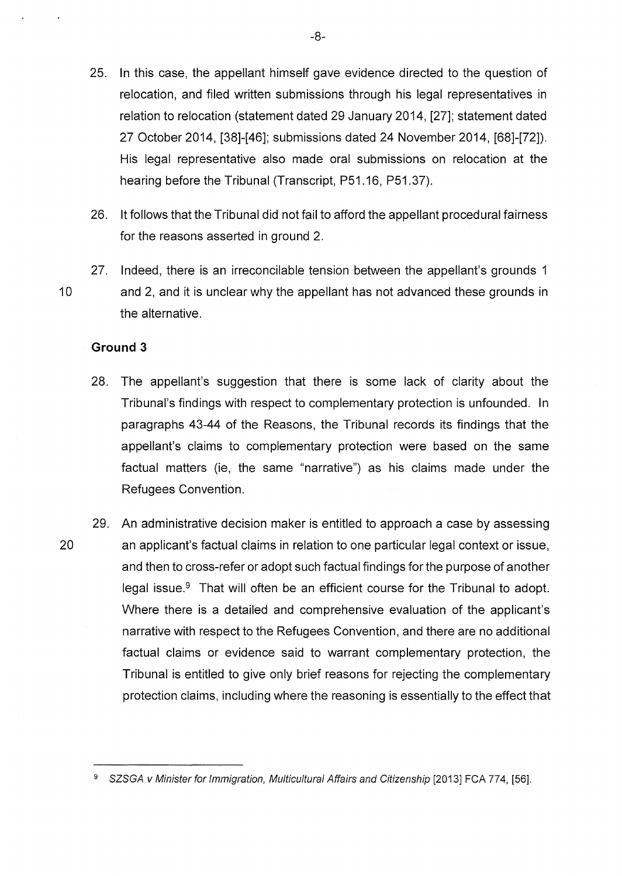- 25. In this case, the appellant himself gave evidence directed to the question of relocation, and filed written submissions through his legal representatives in relation to relocation (statement dated 29 January 2014, [27]; statement dated 27 October 2014, [38]-[46]; submissions dated 24 November 2014, [68]-[72]). His legal representative also made oral submissions on relocation at the hearing before the Tribunal (Transcript, P51.16, P51.37).
- 26. lt follows that the Tribunal did not fail to afford the appellant procedural fairness for the reasons asserted in ground 2.
- 27. Indeed, there is an irreconcilable tension between the appellant's grounds 1 10 and 2, and it is unclear why the appellant has not advanced these grounds in the alternative.

#### **Ground 3**

- 28. The appellant's suggestion that there is some lack of clarity about the Tribunal's findings with respect to complementary protection is unfounded. In paragraphs 43-44 of the Reasons, the Tribunal records its findings that the appellant's claims to complementary protection were based on the same factual matters (ie, the same "narrative") as his claims made under the Refugees Convention.
- 29. An administrative decision maker is entitled to approach a case by assessing 20 an applicant's factual claims in relation to one particular legal context or issue, and then to cross-refer or adopt such factual findings for the purpose of another legal issue. $9$  That will often be an efficient course for the Tribunal to adopt. Where there is a detailed and comprehensive evaluation of the applicant's narrative with respect to the Refugees Convention, and there are no additional factual claims or evidence said to warrant complementary protection, the Tribunal is entitled to give only brief reasons for rejecting the complementary protection claims, including where the reasoning is essentially to the effect that

-8-

<sup>9</sup> SZSGA v Minister for Immigration, Multicultural Affairs and Citizenship [2013] FCA 774, [56].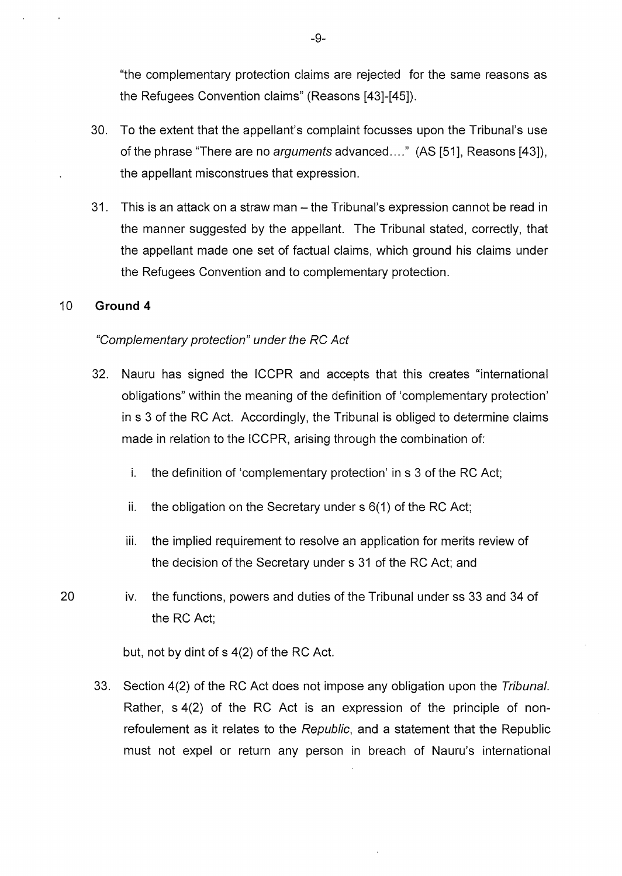"the complementary protection claims are rejected for the same reasons as the Refugees Convention claims" (Reasons [43]-[45]).

- 30. To the extent that the appellant's complaint focusses upon the Tribunal's use of the phrase "There are no arguments advanced...." (AS [51], Reasons [43]), the appellant misconstrues that expression.
- 31. This is an attack on a straw man- the Tribunal's expression cannot be read in the manner suggested by the appellant. The Tribunal stated, correctly, that the appellant made one set of factual claims, which ground his claims under the Refugees Convention and to complementary protection.

### 10 **Ground 4**

#### "Complementary protection" under the RC Act

- 32. Nauru has signed the ICCPR and accepts that this creates "international obligations" within the meaning of the definition of 'complementary protection' in s 3 of the RC Act. Accordingly, the Tribunal is obliged to determine claims made in relation to the ICCPR, arising through the combination of:
	- i. the definition of 'complementary protection' in s 3 of the RC Act;
	- ii. the obligation on the Secretary under s 6(1) of the RC Act;
	- iii. the implied requirement to resolve an application for merits review of the decision of the Secretary under s 31 of the RC Act; and
- 20 iv. the functions, powers and duties of the Tribunal under ss 33 and 34 of the RC Act;

but, not by dint of s 4(2) of the RC Act.

33. Section 4(2) of the RC Act does not impose any obligation upon the Tribunal. Rather, s 4(2) of the RC Act is an expression of the principle of nonrefoulement as it relates to the Republic, and a statement that the Republic must not expel or return any person in breach of Nauru's international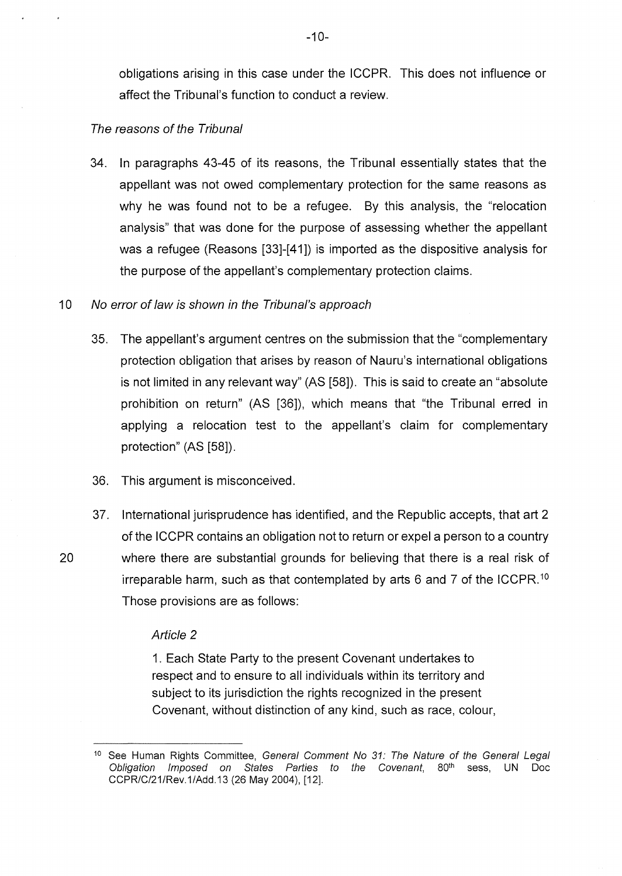obligations arising in this case under the ICCPR. This does not influence or affect the Tribunal's function to conduct a review.

#### The reasons of the Tribunal

34. In paragraphs 43-45 of its reasons, the Tribunal essentially states that the appellant was not owed complementary protection for the same reasons as why he was found not to be a refugee. By this analysis, the "relocation analysis" that was done for the purpose of assessing whether the appellant was a refugee (Reasons [33]-[41]) is imported as the dispositive analysis for the purpose of the appellant's complementary protection claims.

### 10 No error of law is shown in the Tribunal's approach

- 35. The appellant's argument centres on the submission that the "complementary protection obligation that arises by reason of Nauru's international obligations is not limited in any relevant way" (AS [58]). This is said to create an "absolute prohibition on return" (AS [36]), which means that "the Tribunal erred in applying a relocation test to the appellant's claim for complementary protection" (AS [58]).
- 36. This argument is misconceived.
- 37. International jurisprudence has identified, and the Republic accepts, that art 2 of the ICCPR contains an obligation not to return or expel a person to a country 20 where there are substantial grounds for believing that there is a real risk of irreparable harm, such as that contemplated by arts 6 and 7 of the ICCPR. <sup>10</sup> Those provisions are as follows:

#### Article 2

1. Each State Party to the present Covenant undertakes to respect and to ensure to all individuals within its territory and subject to its jurisdiction the rights recognized in the present Covenant, without distinction of any kind, such as race, colour,

<sup>&</sup>lt;sup>10</sup> See Human Rights Committee, General Comment No 31: The Nature of the General Legal Obligation Imposed on States Parties to the Covenant, 80<sup>th</sup> sess, UN Doc CCPR/C/21/Rev.1/Add.13 (26 May 2004), [12].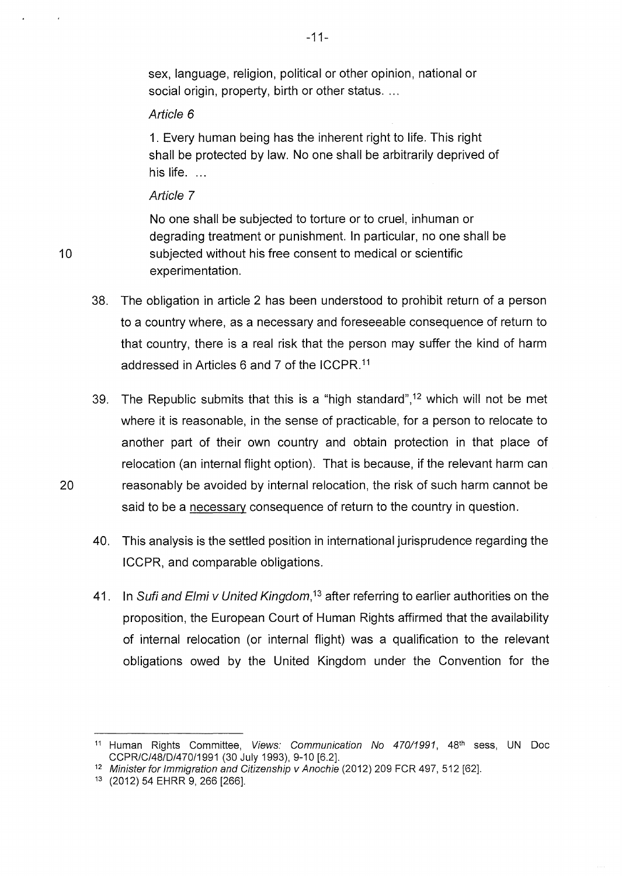sex, language, religion, political or other opinion, national or social origin, property, birth or other status...

### Article 6

1. Every human being has the inherent right to life. This right shall be protected by law. No one shall be arbitrarily deprived of his life. ...

### Article 7

10

No one shall be subjected to torture or to cruel, inhuman or degrading treatment or punishment. In particular, no one shall be subjected without his free consent to medical or scientific experimentation.

38. The obligation in article 2 has been understood to prohibit return of a person to a country where, as a necessary and foreseeable consequence of return to that country, there is a real risk that the person may suffer the kind of harm addressed in Articles 6 and 7 of the ICCPR. <sup>11</sup>

39. The Republic submits that this is a "high standard",<sup>12</sup> which will not be met where it is reasonable, in the sense of practicable, for a person to relocate to another part of their own country and obtain protection in that place of relocation (an internal flight option). That is because, if the relevant harm can 20 reasonably be avoided by internal relocation, the risk of such harm cannot be said to be a necessary consequence of return to the country in question.

- 40. This analysis is the settled position in international jurisprudence regarding the ICCPR, and comparable obligations.
- 41. In Sufi and Elmi v United Kingdom,<sup>13</sup> after referring to earlier authorities on the proposition, the European Court of Human Rights affirmed that the availability of internal relocation (or internal flight) was a qualification to the relevant obligations owed by the United Kingdom under the Convention for the

-11-

<sup>&</sup>lt;sup>11</sup> Human Rights Committee, Views: Communication No 470/1991, 48<sup>th</sup> sess, UN Doc CCPR/C/48/D/470/1991 (30 July 1993), 9-10 [6.2].

<sup>&</sup>lt;sup>12</sup> Minister for Immigration and Citizenship v Anochie (2012) 209 FCR 497, 512 [62].

<sup>13</sup> (2012) 54 EHRR 9, 266 [266].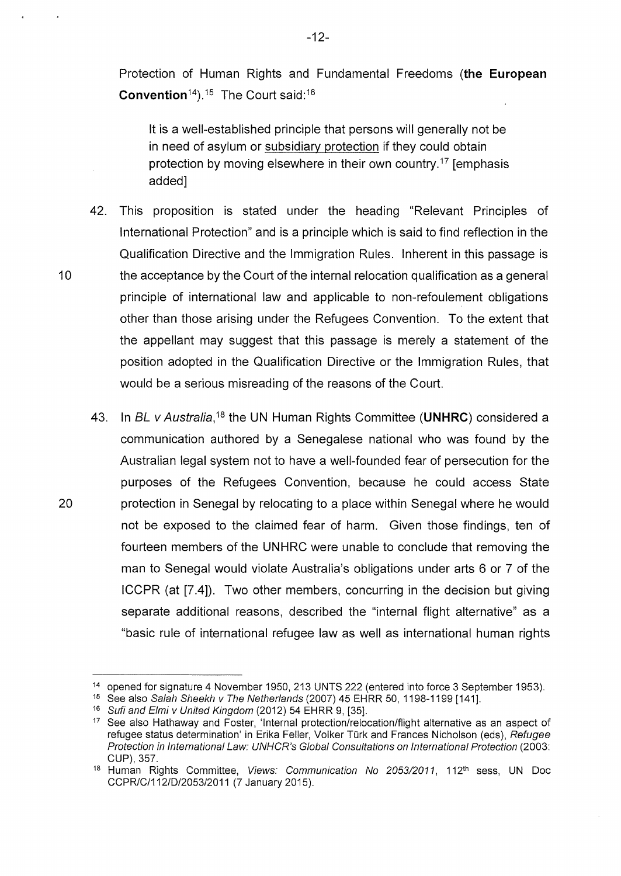Protection of Human Rights and Fundamental Freedoms **(the European Convention**<sup>14</sup>).<sup>15</sup> The Court said:<sup>16</sup>

lt is a well-established principle that persons will generally not be in need of asylum or subsidiary protection if they could obtain protection by moving elsewhere in their own country.<sup>17</sup> [emphasis added]

- 42. This proposition is stated under the heading "Relevant Principles of International Protection" and is a principle which is said to find reflection in the Qualification Directive and the Immigration Rules. Inherent in this passage is 10 the acceptance by the Court of the internal relocation qualification as a general principle of international law and applicable to non-refoulement obligations other than those arising under the Refugees Convention. To the extent that the appellant may suggest that this passage is merely a statement of the position adopted in the Qualification Directive or the Immigration Rules, that would be a serious misreading of the reasons of the Court.
- 43. In BL *v* Australia,<sup>18</sup> the UN Human Rights Committee (UNHRC) considered a communication authored by a Senegalese national who was found by the Australian legal system not to have a well-founded fear of persecution for the purposes of the Refugees Convention, because he could access State 20 protection in Senegal by relocating to a place within Senegal where he would not be exposed to the claimed fear of harm. Given those findings, ten of fourteen members of the UNHRC were unable to conclude that removing the man to Senegal would violate Australia's obligations under arts 6 or 7 of the ICCPR (at [7.4]). Two other members, concurring in the decision but giving separate additional reasons, described the "internal flight alternative" as a "basic rule of international refugee law as well as international human rights

<sup>&</sup>lt;sup>14</sup> opened for signature 4 November 1950, 213 UNTS 222 (entered into force 3 September 1953).

<sup>&</sup>lt;sup>15</sup> See also Salah Sheekh v The Netherlands (2007) 45 EHRR 50, 1198-1199 [141].

<sup>&</sup>lt;sup>16</sup> Sufi and Elmi v United Kingdom (2012) 54 EHRR 9, [35].

<sup>&</sup>lt;sup>17</sup> See also Hathaway and Foster, 'Internal protection/relocation/flight alternative as an aspect of refugee status determination' in Erika Feller, Volker Türk and Frances Nicholson (eds), Refugee Protection in International Law: UNHCR's Global Consultations on International Protection (2003: CUP), 357.

<sup>&</sup>lt;sup>18</sup> Human Rights Committee, Views: Communication No 2053/2011, 112<sup>th</sup> sess, UN Doc CCPR/C/112/D/2053/2011 (7 January 2015).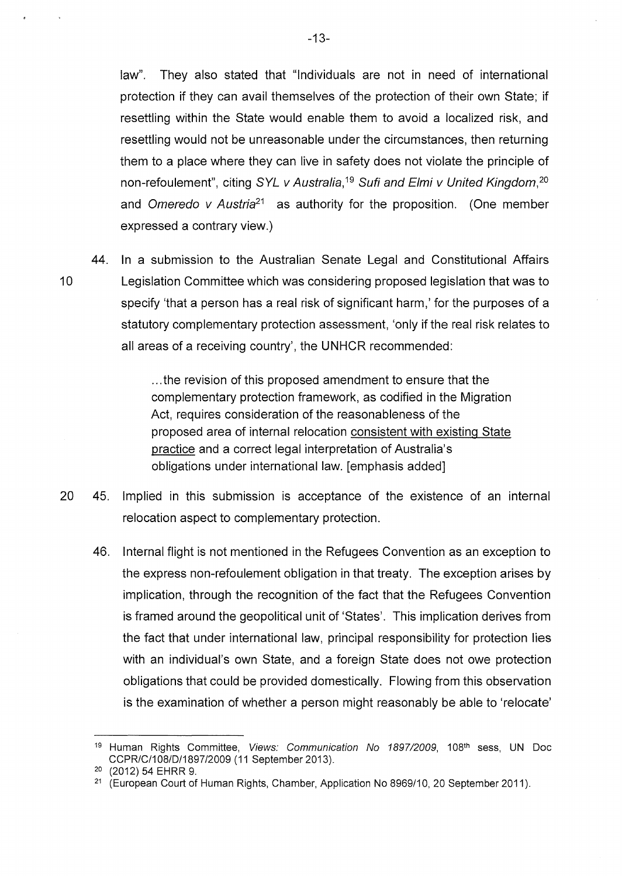law". They also stated that "Individuals are not in need of international protection if they can avail themselves of the protection of their own State; if resettling within the State would enable them to avoid a localized risk, and resettling would not be unreasonable under the circumstances, then returning them to a place where they can live in safety does not violate the principle of non-refoulement", citing  $SYL$  v Australia,<sup>19</sup> Sufi and Elmi v United Kingdom,<sup>20</sup> and Omeredo v Austria<sup>21</sup> as authority for the proposition. (One member expressed a contrary view.)

44. In a submission to the Australian Senate Legal and Constitutional Affairs 10 Legislation Committee which was considering proposed legislation that was to specify 'that a person has a real risk of significant harm,' for the purposes of a statutory complementary protection assessment, 'only if the real risk relates to all areas of a receiving country', the UNHCR recommended:

> ... the revision of this proposed amendment to ensure that the complementary protection framework, as codified in the Migration Act, requires consideration of the reasonableness of the proposed area of internal relocation consistent with existing State practice and a correct legal interpretation of Australia's obligations under international law. [emphasis added]

- 20 45. Implied in this submission is acceptance of the existence of an internal relocation aspect to complementary protection.
	- 46. Internal flight is not mentioned in the Refugees Convention as an exception to the express non-refoulement obligation in that treaty. The exception arises by implication, through the recognition of the fact that the Refugees Convention is framed around the geopolitical unit of 'States'. This implication derives from the fact that under international law, principal responsibility for protection lies with an individual's own State, and a foreign State does not owe protection obligations that could be provided domestically. Flowing from this observation is the examination of whether a person might reasonably be able to 'relocate'

-13-

<sup>&</sup>lt;sup>19</sup> Human Rights Committee, *Views: Communication No 1897/2009*, 108<sup>th</sup> sess, UN Doc CCPR/C/1 08/D/1897/2009 (11 September 2013).

<sup>2</sup>o (2012) 54 EHRR 9.

<sup>&</sup>lt;sup>21</sup> (European Court of Human Rights, Chamber, Application No 8969/10, 20 September 2011).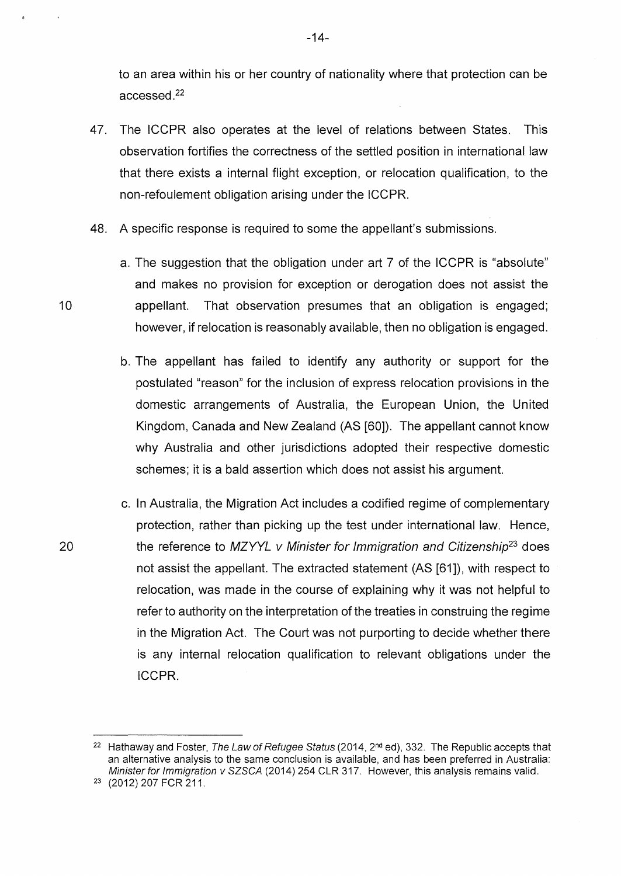to an area within his or her country of nationality where that protection can be a ccessed. <sup>22</sup>

- 47. The ICCPR also operates at the level of relations between States. This observation fortifies the correctness of the settled position in international law that there exists a internal flight exception, or relocation qualification, to the non-refoulement obligation arising under the ICCPR.
- 48. A specific response is required to some the appellant's submissions.
	- a. The suggestion that the obligation under art 7 of the ICCPR is "absolute" and makes no provision for exception or derogation does not assist the appellant. That observation presumes that an obligation is engaged; however, if relocation is reasonably available, then no obligation is engaged.
	- b. The appellant has failed to identify any authority or support for the postulated "reason" for the inclusion of express relocation provisions in the domestic arrangements of Australia, the European Union, the United Kingdom, Canada and New Zealand (AS [60]). The appellant cannot know why Australia and other jurisdictions adopted their respective domestic schemes; it is a bald assertion which does not assist his argument.
- c. In Australia, the Migration Act includes a codified regime of complementary protection, rather than picking up the test under international law. Hence, the reference to MZYYL v Minister for Immigration and Citizenship*23* does not assist the appellant. The extracted statement (AS [61]), with respect to relocation, was made in the course of explaining why it was not helpful to refer to authority on the interpretation of the treaties in construing the regime in the Migration Act. The Court was not purporting to decide whether there is any internal relocation qualification to relevant obligations under the ICCPR.

10

20

-14-

<sup>&</sup>lt;sup>22</sup> Hathaway and Foster, The Law of Refugee Status (2014,  $2<sup>nd</sup>$  ed), 332. The Republic accepts that an alternative analysis to the same conclusion is available, and has been preferred in Australia: Minister for Immigration v SZSCA (2014) 254 CLR 317. However, this analysis remains valid.

<sup>&</sup>lt;sup>23</sup> (2012) 207 FCR 211.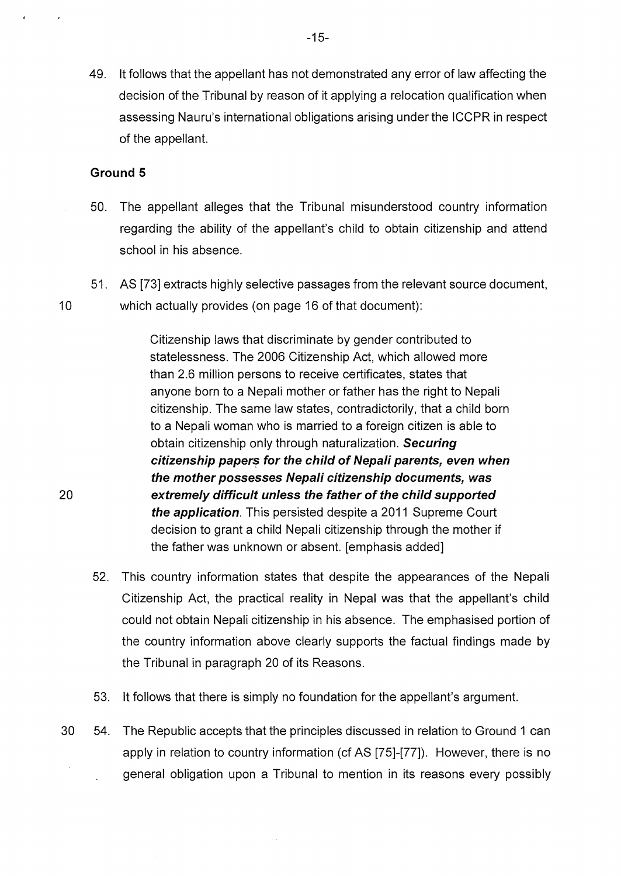49. lt follows that the appellant has not demonstrated any error of law affecting the decision of the Tribunal by reason of it applying a relocation qualification when assessing Nauru's international obligations arising under the ICCPR in respect of the appellant.

### **Ground 5**

20

- 50. The appellant alleges that the Tribunal misunderstood country information regarding the ability of the appellant's child to obtain citizenship and attend school in his absence.
- 51. AS [73] extracts highly selective passages from the relevant source document, 10 which actually provides (on page 16 of that document):

Citizenship laws that discriminate by gender contributed to statelessness. The 2006 Citizenship Act, which allowed more than 2.6 million persons to receive certificates, states that anyone born to a Nepali mother or father has the right to Nepali citizenship. The same law states, contradictorily, that a child born to a Nepali woman who is married to a foreign citizen is able to obtain citizenship only through naturalization. **Securing citizenship papers for the child of Nepali parents, even when the mother possesses Nepali citizenship documents, was extremely difficult unless the father of the child supported the application.** This persisted despite a 2011 Supreme Court decision to grant a child Nepali citizenship through the mother if the father was unknown or absent. [emphasis added]

- 52. This country information states that despite the appearances of the Nepali Citizenship Act, the practical reality in Nepal was that the appellant's child could not obtain Nepali citizenship in his absence. The emphasised portion of the country information above clearly supports the factual findings made by the Tribunal in paragraph 20 of its Reasons.
- 53. lt follows that there is simply no foundation for the appellant's argument.
- 30 54. The Republic accepts that the principles discussed in relation to Ground 1 can apply in relation to country information (cf AS [75]-[77]). However, there is no general obligation upon a Tribunal to mention in its reasons every possibly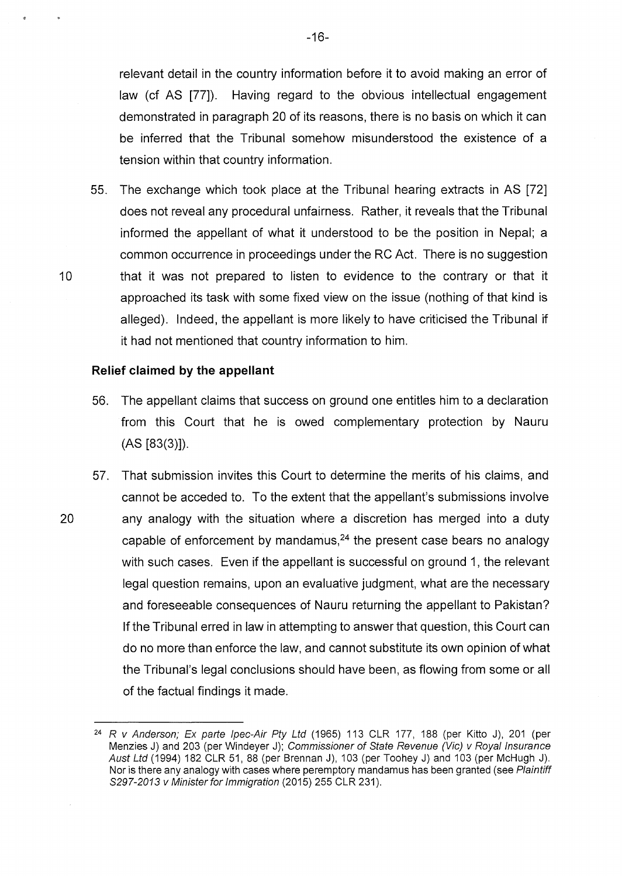relevant detail in the country information before it to avoid making an error of law (cf AS [77]). Having regard to the obvious intellectual engagement demonstrated in paragraph 20 of its reasons, there is no basis on which it can be inferred that the Tribunal somehow misunderstood the existence of a tension within that country information.

55. The exchange which took place at the Tribunal hearing extracts in AS [72] does not reveal any procedural unfairness. Rather, it reveals that the Tribunal informed the appellant of what it understood to be the position in Nepal; a common occurrence in proceedings under the RC Act. There is no suggestion 10 that it was not prepared to listen to evidence to the contrary or that it approached its task with some fixed view on the issue (nothing of that kind is alleged). Indeed, the appellant is more likely to have criticised the Tribunal if it had not mentioned that country information to him.

#### **Relief claimed by the appellant**

- 56. The appellant claims that success on ground one entitles him to a declaration from this Court that he is owed complementary protection by Nauru (AS [83(3)]).
- 57. That submission invites this Court to determine the merits of his claims, and cannot be acceded to. To the extent that the appellant's submissions involve 20 any analogy with the situation where a discretion has merged into a duty capable of enforcement by mandamus, $^{24}$  the present case bears no analogy with such cases. Even if the appellant is successful on ground 1, the relevant legal question remains, upon an evaluative judgment, what are the necessary and foreseeable consequences of Nauru returning the appellant to Pakistan? If the Tribunal erred in law in attempting to answer that question, this Court can do no more than enforce the law, and cannot substitute its own opinion of what the Tribunal's legal conclusions should have been, as flowing from some or all of the factual findings it made.

<sup>&</sup>lt;sup>24</sup> R v Anderson; Ex parte Ipec-Air Pty Ltd (1965) 113 CLR 177, 188 (per Kitto J), 201 (per Menzies J) and 203 (per Windeyer J); Commissioner of State Revenue (Vic) v Royal Insurance Aust Ltd (1994) 182 CLR 51, 88 (per Brennan J), 103 (per Toohey J) and 103 (per McHugh J). Nor is there any analogy with cases where peremptory mandamus has been granted (see Plaintiff S297-2013 v Minister for Immigration (2015) 255 CLR 231).